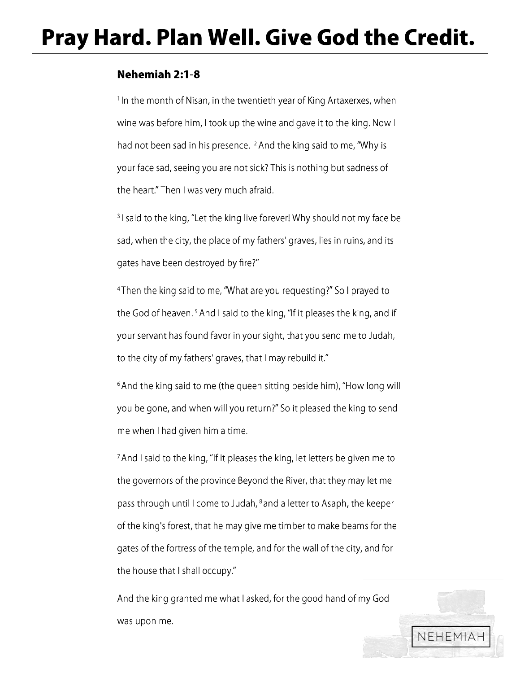# **Pray Hard. Plan Well. Give God the Credit.**

### **Nehemiah 2:1-8**

<sup>1</sup> In the month of Nisan, in the twentieth year of King Artaxerxes, when wine was before him, I took up the wine and gave it to the king. Now I had not been sad in his presence. <sup>2</sup> And the king said to me, "Why is your face sad, seeing you are not sick? This is nothing but sadness of the heart." Then I was very much afraid.

<sup>3</sup> I said to the king, "Let the king live forever! Why should not my face be sad, when the city, the place of my fathers' graves, lies in ruins, and its gates have been destroyed by fire?"

<sup>4</sup>Then the king said to me, "What are you requesting?" So I prayed to the God of heaven.<sup>5</sup> And I said to the king, "If it pleases the king, and if your servant has found favor in your sight, that you send me to Judah, to the city of my fathers' graves, that I may rebuild it."

<sup>6</sup> And the king said to me (the queen sitting beside him), "How long will you be gone, and when will you return?" So it pleased the king to send me when I had given him a time.

7 And I said to the king, "If it pleases the king, let letters be given me to the governors of the province Beyond the River, that they may let me pass through until I come to Judah, 8 and a letter to Asaph, the keeper of the king's forest, that he may give me timber to make beams for the gates of the fortress of the temple, and for the wall of the city, and for the house that I shall occupy."

And the king granted me what I asked, for the good hand of my God was upon me.

NEHEMIAH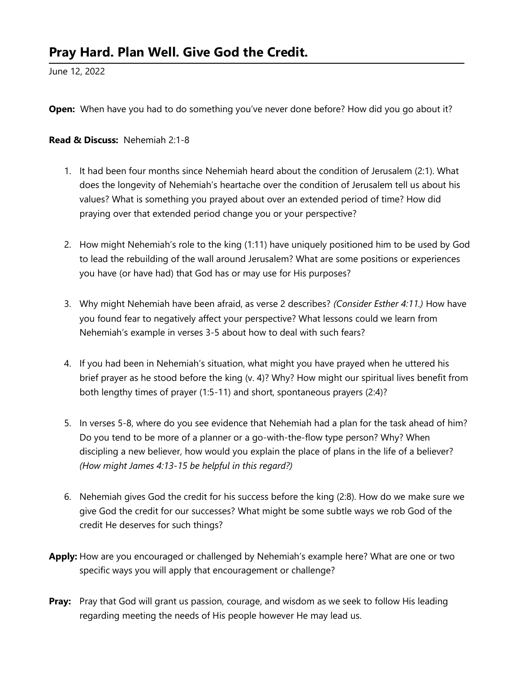## Pray Hard. Plan Well. Give God the Credit.

June 12, 2022

Open: When have you had to do something you've never done before? How did you go about it?

#### Read & Discuss: Nehemiah 2:1-8

- 1. It had been four months since Nehemiah heard about the condition of Jerusalem (2:1). What does the longevity of Nehemiah's heartache over the condition of Jerusalem tell us about his values? What is something you prayed about over an extended period of time? How did praying over that extended period change you or your perspective?
- 2. How might Nehemiah's role to the king (1:11) have uniquely positioned him to be used by God to lead the rebuilding of the wall around Jerusalem? What are some positions or experiences you have (or have had) that God has or may use for His purposes?
- 3. Why might Nehemiah have been afraid, as verse 2 describes? (Consider Esther 4:11.) How have you found fear to negatively affect your perspective? What lessons could we learn from Nehemiah's example in verses 3-5 about how to deal with such fears?
- 4. If you had been in Nehemiah's situation, what might you have prayed when he uttered his brief prayer as he stood before the king (v. 4)? Why? How might our spiritual lives benefit from both lengthy times of prayer (1:5-11) and short, spontaneous prayers (2:4)?
- 5. In verses 5-8, where do you see evidence that Nehemiah had a plan for the task ahead of him? Do you tend to be more of a planner or a go-with-the-flow type person? Why? When discipling a new believer, how would you explain the place of plans in the life of a believer? (How might James 4:13-15 be helpful in this regard?)
- 6. Nehemiah gives God the credit for his success before the king (2:8). How do we make sure we give God the credit for our successes? What might be some subtle ways we rob God of the credit He deserves for such things?
- Apply: How are you encouraged or challenged by Nehemiah's example here? What are one or two specific ways you will apply that encouragement or challenge?
- **Pray:** Pray that God will grant us passion, courage, and wisdom as we seek to follow His leading regarding meeting the needs of His people however He may lead us.